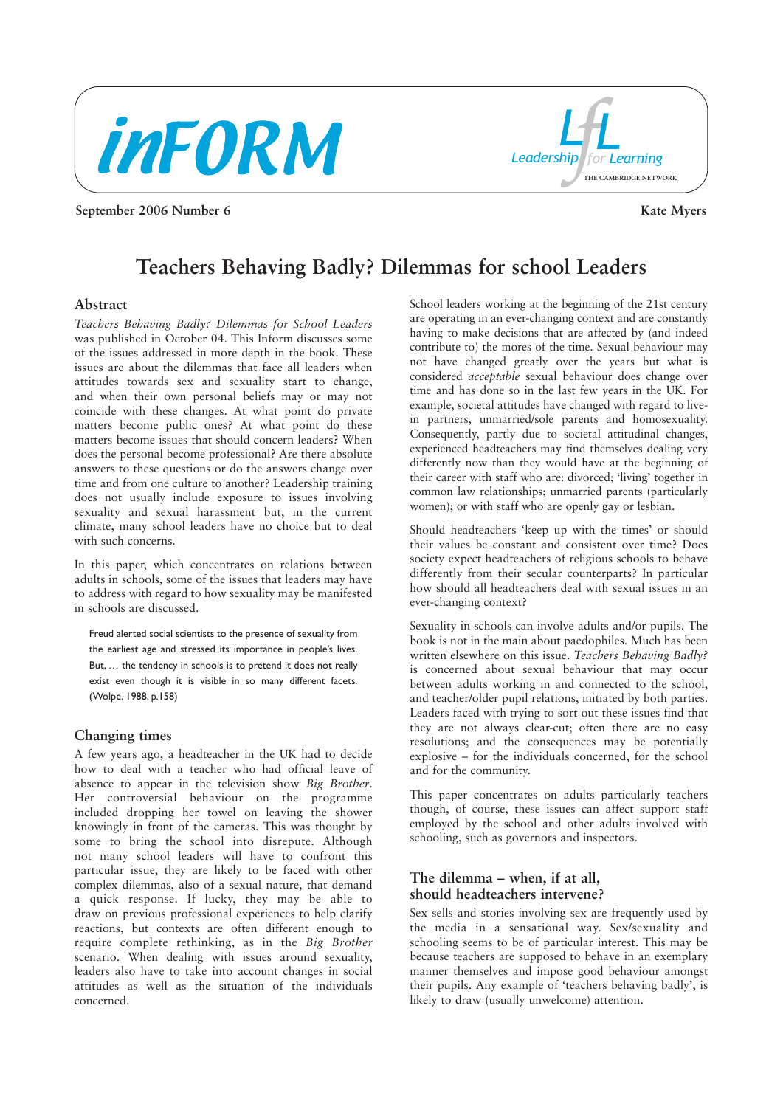



**September 2006 Number 6 Kate Myers** Kate Myers

# **Teachers Behaving Badly? Dilemmas for school Leaders**

## **Abstract**

*Teachers Behaving Badly? Dilemmas for School Leaders* was published in October 04. This Inform discusses some of the issues addressed in more depth in the book. These issues are about the dilemmas that face all leaders when attitudes towards sex and sexuality start to change, and when their own personal beliefs may or may not coincide with these changes. At what point do private matters become public ones? At what point do these matters become issues that should concern leaders? When does the personal become professional? Are there absolute answers to these questions or do the answers change over time and from one culture to another? Leadership training does not usually include exposure to issues involving sexuality and sexual harassment but, in the current climate, many school leaders have no choice but to deal with such concerns.

In this paper, which concentrates on relations between adults in schools, some of the issues that leaders may have to address with regard to how sexuality may be manifested in schools are discussed.

Freud alerted social scientists to the presence of sexuality from the earliest age and stressed its importance in people's lives. But, … the tendency in schools is to pretend it does not really exist even though it is visible in so many different facets. (Wolpe, 1988, p.158)

## **Changing times**

A few years ago, a headteacher in the UK had to decide how to deal with a teacher who had official leave of absence to appear in the television show *Big Brother*. Her controversial behaviour on the programme included dropping her towel on leaving the shower knowingly in front of the cameras. This was thought by some to bring the school into disrepute. Although not many school leaders will have to confront this particular issue, they are likely to be faced with other complex dilemmas, also of a sexual nature, that demand a quick response. If lucky, they may be able to draw on previous professional experiences to help clarify reactions, but contexts are often different enough to require complete rethinking, as in the *Big Brother* scenario. When dealing with issues around sexuality, leaders also have to take into account changes in social attitudes as well as the situation of the individuals concerned.

School leaders working at the beginning of the 21st century are operating in an ever-changing context and are constantly having to make decisions that are affected by (and indeed contribute to) the mores of the time. Sexual behaviour may not have changed greatly over the years but what is considered *acceptable* sexual behaviour does change over time and has done so in the last few years in the UK. For example, societal attitudes have changed with regard to livein partners, unmarried/sole parents and homosexuality. Consequently, partly due to societal attitudinal changes, experienced headteachers may find themselves dealing very differently now than they would have at the beginning of their career with staff who are: divorced; 'living' together in common law relationships; unmarried parents (particularly women); or with staff who are openly gay or lesbian.

Should headteachers 'keep up with the times' or should their values be constant and consistent over time? Does society expect headteachers of religious schools to behave differently from their secular counterparts? In particular how should all headteachers deal with sexual issues in an ever-changing context?

Sexuality in schools can involve adults and/or pupils. The book is not in the main about paedophiles. Much has been written elsewhere on this issue. *Teachers Behaving Badly?* is concerned about sexual behaviour that may occur between adults working in and connected to the school, and teacher/older pupil relations, initiated by both parties. Leaders faced with trying to sort out these issues find that they are not always clear-cut; often there are no easy resolutions; and the consequences may be potentially explosive – for the individuals concerned, for the school and for the community.

This paper concentrates on adults particularly teachers though, of course, these issues can affect support staff employed by the school and other adults involved with schooling, such as governors and inspectors.

# **The dilemma – when, if at all, should headteachers intervene?**

Sex sells and stories involving sex are frequently used by the media in a sensational way. Sex/sexuality and schooling seems to be of particular interest. This may be because teachers are supposed to behave in an exemplary manner themselves and impose good behaviour amongst their pupils. Any example of 'teachers behaving badly', is likely to draw (usually unwelcome) attention.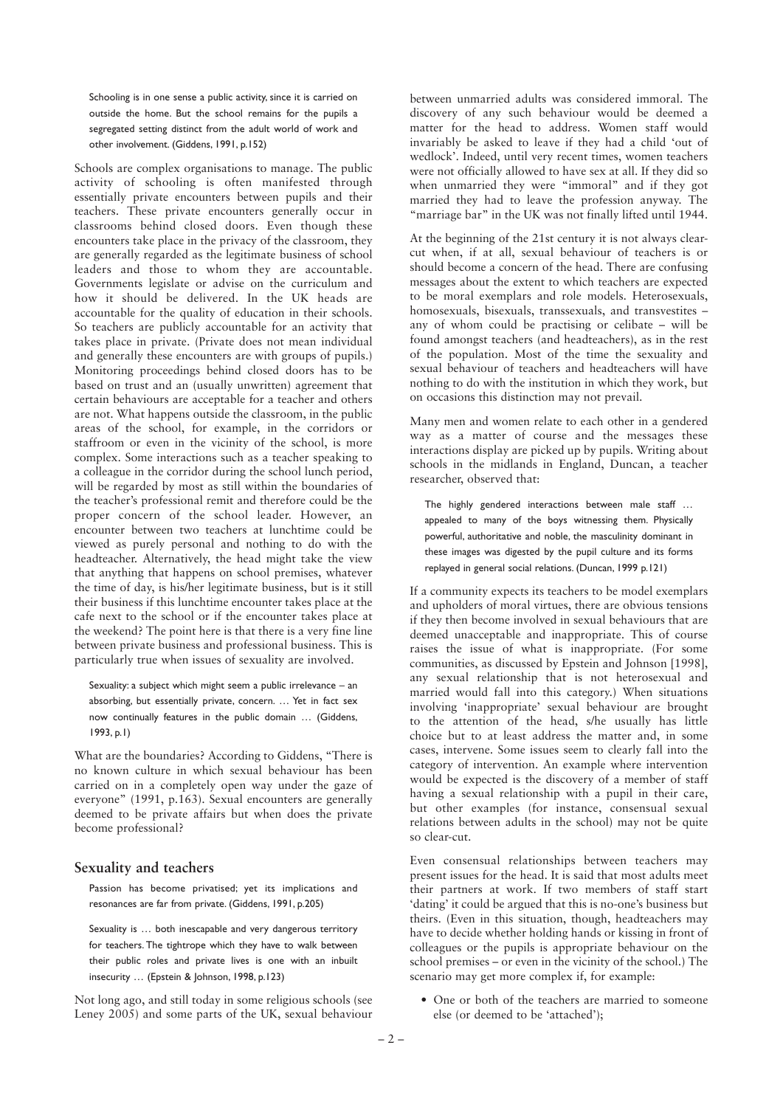Schooling is in one sense a public activity, since it is carried on outside the home. But the school remains for the pupils a segregated setting distinct from the adult world of work and other involvement. (Giddens, 1991, p.152)

Schools are complex organisations to manage. The public activity of schooling is often manifested through essentially private encounters between pupils and their teachers. These private encounters generally occur in classrooms behind closed doors. Even though these encounters take place in the privacy of the classroom, they are generally regarded as the legitimate business of school leaders and those to whom they are accountable. Governments legislate or advise on the curriculum and how it should be delivered. In the UK heads are accountable for the quality of education in their schools. So teachers are publicly accountable for an activity that takes place in private. (Private does not mean individual and generally these encounters are with groups of pupils.) Monitoring proceedings behind closed doors has to be based on trust and an (usually unwritten) agreement that certain behaviours are acceptable for a teacher and others are not. What happens outside the classroom, in the public areas of the school, for example, in the corridors or staffroom or even in the vicinity of the school, is more complex. Some interactions such as a teacher speaking to a colleague in the corridor during the school lunch period, will be regarded by most as still within the boundaries of the teacher's professional remit and therefore could be the proper concern of the school leader. However, an encounter between two teachers at lunchtime could be viewed as purely personal and nothing to do with the headteacher. Alternatively, the head might take the view that anything that happens on school premises, whatever the time of day, is his/her legitimate business, but is it still their business if this lunchtime encounter takes place at the cafe next to the school or if the encounter takes place at the weekend? The point here is that there is a very fine line between private business and professional business. This is particularly true when issues of sexuality are involved.

Sexuality: a subject which might seem a public irrelevance – an absorbing, but essentially private, concern. … Yet in fact sex now continually features in the public domain … (Giddens, 1993, p.1)

What are the boundaries? According to Giddens, "There is no known culture in which sexual behaviour has been carried on in a completely open way under the gaze of everyone" (1991, p.163). Sexual encounters are generally deemed to be private affairs but when does the private become professional?

## **Sexuality and teachers**

Passion has become privatised; yet its implications and resonances are far from private. (Giddens, 1991, p.205)

Sexuality is … both inescapable and very dangerous territory for teachers. The tightrope which they have to walk between their public roles and private lives is one with an inbuilt insecurity … (Epstein & Johnson, 1998, p.123)

Not long ago, and still today in some religious schools (see Leney 2005) and some parts of the UK, sexual behaviour between unmarried adults was considered immoral. The discovery of any such behaviour would be deemed a matter for the head to address. Women staff would invariably be asked to leave if they had a child 'out of wedlock'. Indeed, until very recent times, women teachers were not officially allowed to have sex at all. If they did so when unmarried they were "immoral" and if they got married they had to leave the profession anyway. The "marriage bar" in the UK was not finally lifted until 1944.

At the beginning of the 21st century it is not always clearcut when, if at all, sexual behaviour of teachers is or should become a concern of the head. There are confusing messages about the extent to which teachers are expected to be moral exemplars and role models. Heterosexuals, homosexuals, bisexuals, transsexuals, and transvestites – any of whom could be practising or celibate – will be found amongst teachers (and headteachers), as in the rest of the population. Most of the time the sexuality and sexual behaviour of teachers and headteachers will have nothing to do with the institution in which they work, but on occasions this distinction may not prevail.

Many men and women relate to each other in a gendered way as a matter of course and the messages these interactions display are picked up by pupils. Writing about schools in the midlands in England, Duncan, a teacher researcher, observed that:

The highly gendered interactions between male staff ... appealed to many of the boys witnessing them. Physically powerful, authoritative and noble, the masculinity dominant in these images was digested by the pupil culture and its forms replayed in general social relations. (Duncan, 1999 p.121)

If a community expects its teachers to be model exemplars and upholders of moral virtues, there are obvious tensions if they then become involved in sexual behaviours that are deemed unacceptable and inappropriate. This of course raises the issue of what is inappropriate. (For some communities, as discussed by Epstein and Johnson [1998], any sexual relationship that is not heterosexual and married would fall into this category.) When situations involving 'inappropriate' sexual behaviour are brought to the attention of the head, s/he usually has little choice but to at least address the matter and, in some cases, intervene. Some issues seem to clearly fall into the category of intervention. An example where intervention would be expected is the discovery of a member of staff having a sexual relationship with a pupil in their care, but other examples (for instance, consensual sexual relations between adults in the school) may not be quite so clear-cut.

Even consensual relationships between teachers may present issues for the head. It is said that most adults meet their partners at work. If two members of staff start 'dating' it could be argued that this is no-one's business but theirs. (Even in this situation, though, headteachers may have to decide whether holding hands or kissing in front of colleagues or the pupils is appropriate behaviour on the school premises – or even in the vicinity of the school.) The scenario may get more complex if, for example:

• One or both of the teachers are married to someone else (or deemed to be 'attached');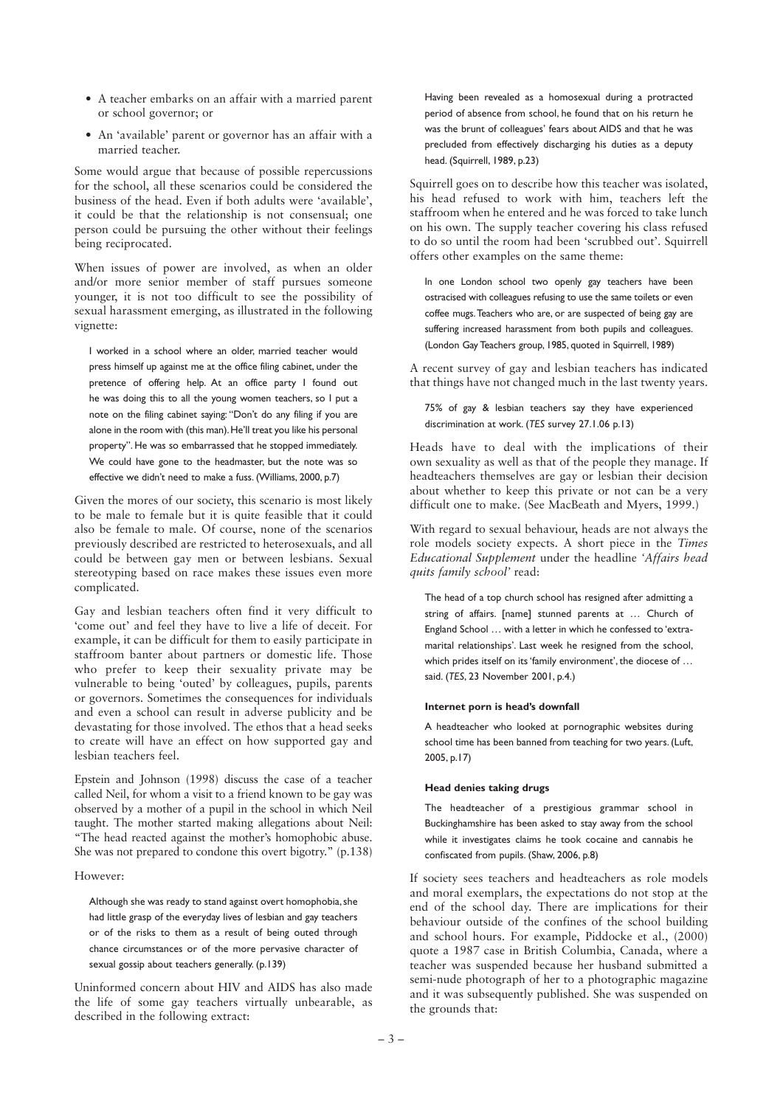- A teacher embarks on an affair with a married parent or school governor; or
- An 'available' parent or governor has an affair with a married teacher.

Some would argue that because of possible repercussions for the school, all these scenarios could be considered the business of the head. Even if both adults were 'available', it could be that the relationship is not consensual; one person could be pursuing the other without their feelings being reciprocated.

When issues of power are involved, as when an older and/or more senior member of staff pursues someone younger, it is not too difficult to see the possibility of sexual harassment emerging, as illustrated in the following vignette:

I worked in a school where an older, married teacher would press himself up against me at the office filing cabinet, under the pretence of offering help. At an office party I found out he was doing this to all the young women teachers, so I put a note on the filing cabinet saying: "Don't do any filing if you are alone in the room with (this man). He'll treat you like his personal property". He was so embarrassed that he stopped immediately. We could have gone to the headmaster, but the note was so effective we didn't need to make a fuss. (Williams, 2000, p.7)

Given the mores of our society, this scenario is most likely to be male to female but it is quite feasible that it could also be female to male. Of course, none of the scenarios previously described are restricted to heterosexuals, and all could be between gay men or between lesbians. Sexual stereotyping based on race makes these issues even more complicated.

Gay and lesbian teachers often find it very difficult to 'come out' and feel they have to live a life of deceit. For example, it can be difficult for them to easily participate in staffroom banter about partners or domestic life. Those who prefer to keep their sexuality private may be vulnerable to being 'outed' by colleagues, pupils, parents or governors. Sometimes the consequences for individuals and even a school can result in adverse publicity and be devastating for those involved. The ethos that a head seeks to create will have an effect on how supported gay and lesbian teachers feel.

Epstein and Johnson (1998) discuss the case of a teacher called Neil, for whom a visit to a friend known to be gay was observed by a mother of a pupil in the school in which Neil taught. The mother started making allegations about Neil: "The head reacted against the mother's homophobic abuse. She was not prepared to condone this overt bigotry." (p.138)

#### However:

Although she was ready to stand against overt homophobia, she had little grasp of the everyday lives of lesbian and gay teachers or of the risks to them as a result of being outed through chance circumstances or of the more pervasive character of sexual gossip about teachers generally. (p.139)

Uninformed concern about HIV and AIDS has also made the life of some gay teachers virtually unbearable, as described in the following extract:

Having been revealed as a homosexual during a protracted period of absence from school, he found that on his return he was the brunt of colleagues' fears about AIDS and that he was precluded from effectively discharging his duties as a deputy head. (Squirrell, 1989, p.23)

Squirrell goes on to describe how this teacher was isolated, his head refused to work with him, teachers left the staffroom when he entered and he was forced to take lunch on his own. The supply teacher covering his class refused to do so until the room had been 'scrubbed out'. Squirrell offers other examples on the same theme:

In one London school two openly gay teachers have been ostracised with colleagues refusing to use the same toilets or even coffee mugs.Teachers who are, or are suspected of being gay are suffering increased harassment from both pupils and colleagues. (London Gay Teachers group, 1985, quoted in Squirrell, 1989)

A recent survey of gay and lesbian teachers has indicated that things have not changed much in the last twenty years.

75% of gay & lesbian teachers say they have experienced discrimination at work. (*TES* survey 27.1.06 p.13)

Heads have to deal with the implications of their own sexuality as well as that of the people they manage. If headteachers themselves are gay or lesbian their decision about whether to keep this private or not can be a very difficult one to make. (See MacBeath and Myers, 1999.)

With regard to sexual behaviour, heads are not always the role models society expects. A short piece in the *Times Educational Supplement* under the headline *'Affairs head quits family school'* read:

The head of a top church school has resigned after admitting a string of affairs. [name] stunned parents at … Church of England School … with a letter in which he confessed to 'extramarital relationships'. Last week he resigned from the school, which prides itself on its 'family environment', the diocese of … said. (*TES*, 23 November 2001, p.4.)

#### **Internet porn is head's downfall**

A headteacher who looked at pornographic websites during school time has been banned from teaching for two years. (Luft, 2005, p.17)

#### **Head denies taking drugs**

The headteacher of a prestigious grammar school in Buckinghamshire has been asked to stay away from the school while it investigates claims he took cocaine and cannabis he confiscated from pupils. (Shaw, 2006, p.8)

If society sees teachers and headteachers as role models and moral exemplars, the expectations do not stop at the end of the school day. There are implications for their behaviour outside of the confines of the school building and school hours. For example, Piddocke et al., (2000) quote a 1987 case in British Columbia, Canada, where a teacher was suspended because her husband submitted a semi-nude photograph of her to a photographic magazine and it was subsequently published. She was suspended on the grounds that: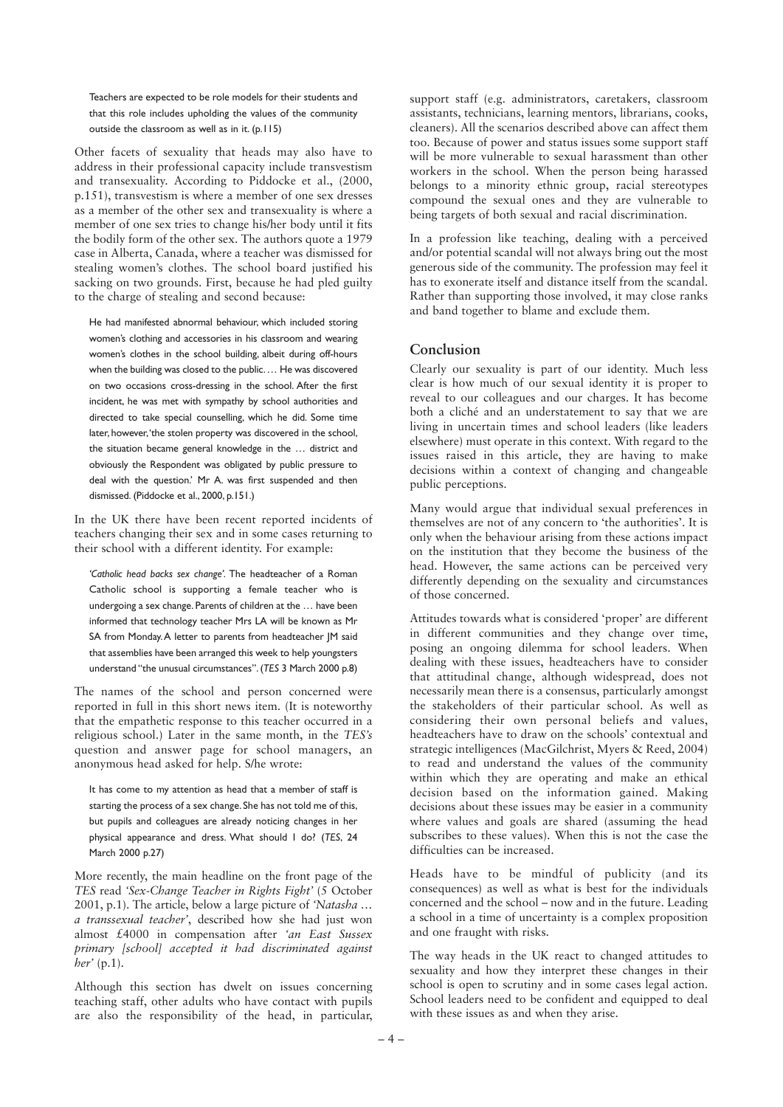Teachers are expected to be role models for their students and that this role includes upholding the values of the community outside the classroom as well as in it. (p.115)

Other facets of sexuality that heads may also have to address in their professional capacity include transvestism and transexuality. According to Piddocke et al., (2000, p.151), transvestism is where a member of one sex dresses as a member of the other sex and transexuality is where a member of one sex tries to change his/her body until it fits the bodily form of the other sex. The authors quote a 1979 case in Alberta, Canada, where a teacher was dismissed for stealing women's clothes. The school board justified his sacking on two grounds. First, because he had pled guilty to the charge of stealing and second because:

He had manifested abnormal behaviour, which included storing women's clothing and accessories in his classroom and wearing women's clothes in the school building, albeit during off-hours when the building was closed to the public.… He was discovered on two occasions cross-dressing in the school. After the first incident, he was met with sympathy by school authorities and directed to take special counselling, which he did. Some time later, however,'the stolen property was discovered in the school, the situation became general knowledge in the … district and obviously the Respondent was obligated by public pressure to deal with the question.' Mr A. was first suspended and then dismissed. (Piddocke et al., 2000, p.151.)

In the UK there have been recent reported incidents of teachers changing their sex and in some cases returning to their school with a different identity. For example:

*'Catholic head backs sex change'.* The headteacher of a Roman Catholic school is supporting a female teacher who is undergoing a sex change. Parents of children at the … have been informed that technology teacher Mrs LA will be known as Mr SA from Monday.A letter to parents from headteacher JM said that assemblies have been arranged this week to help youngsters understand "the unusual circumstances". (*TES* 3 March 2000 p.8)

The names of the school and person concerned were reported in full in this short news item. (It is noteworthy that the empathetic response to this teacher occurred in a religious school.) Later in the same month, in the *TES's* question and answer page for school managers, an anonymous head asked for help. S/he wrote:

It has come to my attention as head that a member of staff is starting the process of a sex change.She has not told me of this, but pupils and colleagues are already noticing changes in her physical appearance and dress. What should I do? (*TES*, 24 March 2000 p.27)

More recently, the main headline on the front page of the *TES* read *'Sex-Change Teacher in Rights Fight'* (5 October 2001, p.1). The article, below a large picture of *'Natasha … a transsexual teacher'*, described how she had just won almost £4000 in compensation after *'an East Sussex primary [school] accepted it had discriminated against her'* (p.1).

Although this section has dwelt on issues concerning teaching staff, other adults who have contact with pupils are also the responsibility of the head, in particular, support staff (e.g. administrators, caretakers, classroom assistants, technicians, learning mentors, librarians, cooks, cleaners). All the scenarios described above can affect them too. Because of power and status issues some support staff will be more vulnerable to sexual harassment than other workers in the school. When the person being harassed belongs to a minority ethnic group, racial stereotypes compound the sexual ones and they are vulnerable to being targets of both sexual and racial discrimination.

In a profession like teaching, dealing with a perceived and/or potential scandal will not always bring out the most generous side of the community. The profession may feel it has to exonerate itself and distance itself from the scandal. Rather than supporting those involved, it may close ranks and band together to blame and exclude them.

## **Conclusion**

Clearly our sexuality is part of our identity. Much less clear is how much of our sexual identity it is proper to reveal to our colleagues and our charges. It has become both a cliché and an understatement to say that we are living in uncertain times and school leaders (like leaders elsewhere) must operate in this context. With regard to the issues raised in this article, they are having to make decisions within a context of changing and changeable public perceptions.

Many would argue that individual sexual preferences in themselves are not of any concern to 'the authorities'. It is only when the behaviour arising from these actions impact on the institution that they become the business of the head. However, the same actions can be perceived very differently depending on the sexuality and circumstances of those concerned.

Attitudes towards what is considered 'proper' are different in different communities and they change over time, posing an ongoing dilemma for school leaders. When dealing with these issues, headteachers have to consider that attitudinal change, although widespread, does not necessarily mean there is a consensus, particularly amongst the stakeholders of their particular school. As well as considering their own personal beliefs and values, headteachers have to draw on the schools' contextual and strategic intelligences (MacGilchrist, Myers & Reed, 2004) to read and understand the values of the community within which they are operating and make an ethical decision based on the information gained. Making decisions about these issues may be easier in a community where values and goals are shared (assuming the head subscribes to these values). When this is not the case the difficulties can be increased.

Heads have to be mindful of publicity (and its consequences) as well as what is best for the individuals concerned and the school – now and in the future. Leading a school in a time of uncertainty is a complex proposition and one fraught with risks.

The way heads in the UK react to changed attitudes to sexuality and how they interpret these changes in their school is open to scrutiny and in some cases legal action. School leaders need to be confident and equipped to deal with these issues as and when they arise.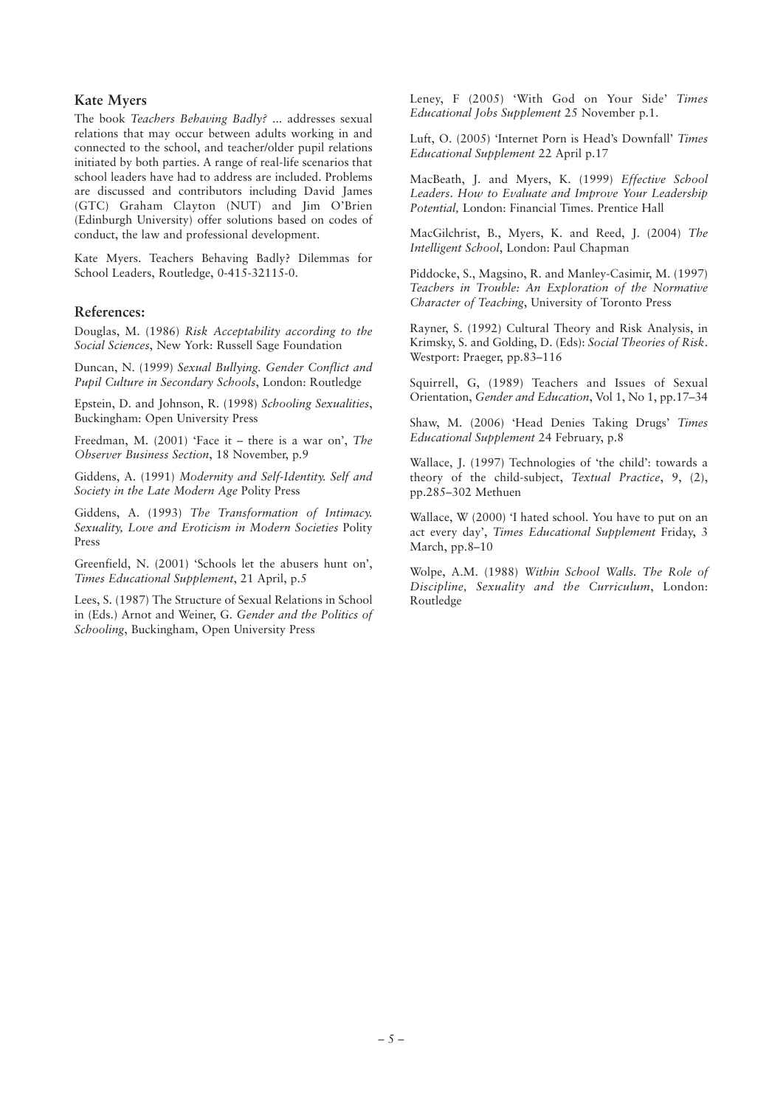## **Kate Myers**

The book *Teachers Behaving Badly?* ... addresses sexual relations that may occur between adults working in and connected to the school, and teacher/older pupil relations initiated by both parties. A range of real-life scenarios that school leaders have had to address are included. Problems are discussed and contributors including David James (GTC) Graham Clayton (NUT) and Jim O'Brien (Edinburgh University) offer solutions based on codes of conduct, the law and professional development.

Kate Myers. Teachers Behaving Badly? Dilemmas for School Leaders, Routledge, 0-415-32115-0.

## **References:**

Douglas, M. (1986) *Risk Acceptability according to the Social Sciences*, New York: Russell Sage Foundation

Duncan, N. (1999) *Sexual Bullying. Gender Conflict and Pupil Culture in Secondary Schools*, London: Routledge

Epstein, D. and Johnson, R. (1998) *Schooling Sexualities*, Buckingham: Open University Press

Freedman, M. (2001) 'Face it – there is a war on', *The Observer Business Section*, 18 November, p.9

Giddens, A. (1991) *Modernity and Self-Identity. Self and Society in the Late Modern Age* Polity Press

Giddens, A. (1993) *The Transformation of Intimacy. Sexuality, Love and Eroticism in Modern Societies* Polity Press

Greenfield, N. (2001) 'Schools let the abusers hunt on', *Times Educational Supplement*, 21 April, p.5

Lees, S. (1987) The Structure of Sexual Relations in School in (Eds.) Arnot and Weiner, G. *Gender and the Politics of Schooling*, Buckingham, Open University Press

Leney, F (2005) 'With God on Your Side' *Times Educational Jobs Supplement* 25 November p.1.

Luft, O. (2005) 'Internet Porn is Head's Downfall' *Times Educational Supplement* 22 April p.17

MacBeath, J. and Myers, K. (1999) *Effective School Leaders*. *How to Evaluate and Improve Your Leadership Potential,* London: Financial Times. Prentice Hall

MacGilchrist, B., Myers, K. and Reed, J. (2004) *The Intelligent School*, London: Paul Chapman

Piddocke, S., Magsino, R. and Manley-Casimir, M. (1997) *Teachers in Trouble: An Exploration of the Normative Character of Teaching*, University of Toronto Press

Rayner, S. (1992) Cultural Theory and Risk Analysis, in Krimsky, S. and Golding, D. (Eds): *Social Theories of Risk*. Westport: Praeger, pp.83–116

Squirrell, G, (1989) Teachers and Issues of Sexual Orientation, *Gender and Education*, Vol 1, No 1, pp.17–34

Shaw, M. (2006) 'Head Denies Taking Drugs' *Times Educational Supplement* 24 February, p.8

Wallace, J. (1997) Technologies of 'the child': towards a theory of the child-subject, *Textual Practice*, 9, (2), pp.285–302 Methuen

Wallace, W (2000) 'I hated school. You have to put on an act every day', *Times Educational Supplement* Friday, 3 March, pp.8–10

Wolpe, A.M. (1988) *Within School Walls. The Role of Discipline, Sexuality and the Curriculum*, London: Routledge